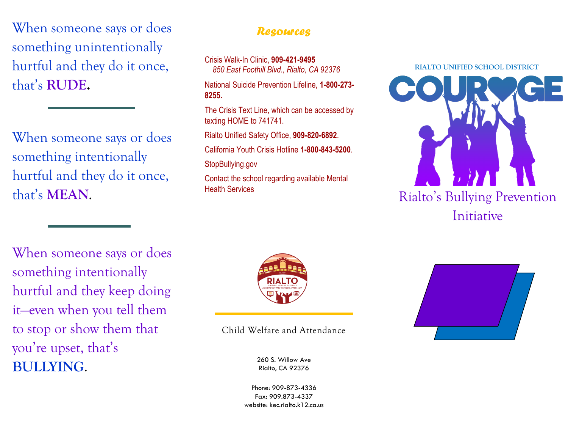When someone says or does something unintentionally hurtful and they do it once, that's **RUDE.**

When someone says or does something intentionally hurtful and they do it once, that's **MEAN**.

#### *Resources*

Crisis Walk-In Clinic, **909-421-9495** *850 East Foothill Blvd., Rialto, CA 92376*

National Suicide Prevention Lifeline, **1-800-273- 8255.**

The Crisis Text Line, which can be accessed by texting HOME to 741741.

Rialto Unified Safety Office, **909-820-6892**.

California Youth Crisis Hotline **1-800-843-5200**.

StopBullying.gov

Contact the school regarding available Mental Health Services



When someone says or does something intentionally hurtful and they keep doing it—even when you tell them to stop or show them that you're upset, that's **BULLYING**.



Child Welfare and Attendance

260 S. Willow Ave Rialto, CA 92376

Phone: 909-873-4336 Fax: 909.873-4337 website: kec.rialto.k12.ca.us